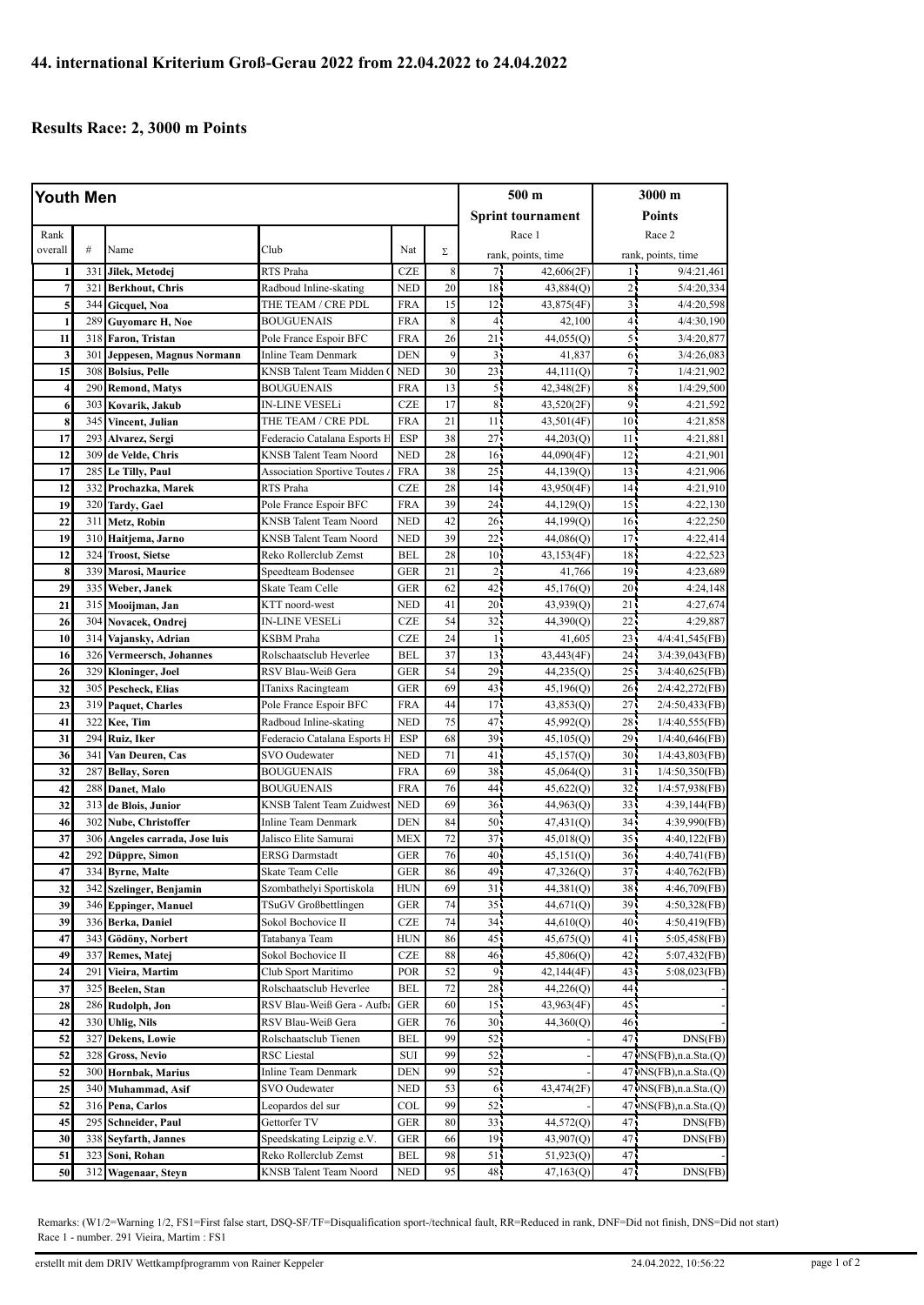## **Results Race: 2, 3000 m Points**

| Youth Men      |     |                            |                                    |            |    | 500 m           |                          | 3000 m          |                          |
|----------------|-----|----------------------------|------------------------------------|------------|----|-----------------|--------------------------|-----------------|--------------------------|
|                |     |                            |                                    |            |    |                 | <b>Sprint tournament</b> |                 | <b>Points</b>            |
| Rank           |     |                            |                                    |            |    |                 | Race 1                   |                 | Race 2                   |
| overall        | #   | Name                       | Club                               | Nat        | Σ  |                 | rank, points, time       |                 | rank, points, time       |
| 1              | 331 | Jilek, Metodej             | RTS Praha                          | <b>CZE</b> | 8  | 71              | 42,606(2F)               | 14              | 9/4:21,461               |
| $\overline{7}$ | 321 | <b>Berkhout, Chris</b>     | Radboud Inline-skating             | <b>NED</b> | 20 | 18 <sub>1</sub> | 43,884(Q)                | 25              | 5/4:20.334               |
| 5              | 344 | Gicquel, Noa               | THE TEAM / CRE PDL                 | <b>FRA</b> | 15 | 12 <sup>1</sup> | 43,875(4F)               | $\overline{3}$  | 4/4:20,598               |
| 1              | 289 | <b>Guyomarc H, Noe</b>     | <b>BOUGUENAIS</b>                  | <b>FRA</b> | 8  | 4 <sub>1</sub>  | 42,100                   | 41              | 4/4:30,190               |
| 11             | 318 | Faron, Tristan             | Pole France Espoir BFC             | <b>FRA</b> | 26 | 21              | 44,055(Q)                | 5               | 3/4:20,877               |
| 3              | 301 | Jeppesen, Magnus Normann   | <b>Inline Team Denmark</b>         | <b>DEN</b> | 9  | 31              | 41,837                   | 6               | 3/4:26,083               |
| 15             | 308 | <b>Bolsius, Pelle</b>      | KNSB Talent Team Midden            | <b>NED</b> | 30 | 23              | 44,111(Q)                | 7,              | 1/4:21,902               |
| 4              | 290 | <b>Remond, Matys</b>       | <b>BOUGUENAIS</b>                  | <b>FRA</b> | 13 | 55              | 42,348(2F)               | 85              | 1/4:29,500               |
| 6              | 303 | Kovarik, Jakub             | <b>IN-LINE VESELi</b>              | <b>CZE</b> | 17 | 8 <sub>1</sub>  | 43,520(2F)               | 91              | 4:21,592                 |
| 8              | 345 | Vincent, Julian            | THE TEAM / CRE PDL                 | <b>FRA</b> | 21 | 11              | 43,501(4F)               | 10 <sup>1</sup> | 4:21,858                 |
| 17             | 293 | Alvarez, Sergi             | Federacio Catalana Esports F       | <b>ESP</b> | 38 | 27.             | 44,203(Q)                | 11 <sub>1</sub> | 4:21,881                 |
| 12             | 309 | de Velde, Chris            | <b>KNSB</b> Talent Team Noord      | <b>NED</b> | 28 | 16 <sup>1</sup> | 44,090(4F)               | 12 <sub>1</sub> | 4:21,901                 |
| 17             | 285 | Le Tilly, Paul             | <b>Association Sportive Toutes</b> | <b>FRA</b> | 38 | 25              | 44,139(Q)                | 13              | 4:21,906                 |
| 12             | 332 | Prochazka, Marek           | RTS Praha                          | <b>CZE</b> | 28 | 14 <sub>1</sub> | 43,950(4F)               | 14 <sub>1</sub> | 4:21,910                 |
| 19             | 320 | <b>Tardy</b> , Gael        | Pole France Espoir BFC             | <b>FRA</b> | 39 | 24              | 44,129 <sub>(Q)</sub>    | 15 <sup>2</sup> | 4:22,130                 |
| 22             | 311 | Metz, Robin                | <b>KNSB Talent Team Noord</b>      | <b>NED</b> | 42 | 26 <sub>1</sub> | 44,199(Q)                | 16 <sub>1</sub> | 4:22,250                 |
| 19             | 310 | Haitjema, Jarno            | <b>KNSB</b> Talent Team Noord      | <b>NED</b> | 39 | 22              | 44,086(O)                | $17 -$          | 4:22.414                 |
| 12             | 324 | <b>Troost, Sietse</b>      | Reko Rollerclub Zemst              | BEL        | 28 | 10 <sup>7</sup> | 43,153(4F)               | 18 <sub>1</sub> | 4:22,523                 |
| 8              | 339 | <b>Marosi</b> , Maurice    | Speedteam Bodensee                 | <b>GER</b> | 21 | $\overline{2}$  | 41,766                   | 19              | 4:23,689                 |
| 29             | 335 | Weber, Janek               | <b>Skate Team Celle</b>            | <b>GER</b> | 62 | 42              | 45,176(O)                | 20 <sub>1</sub> | 4:24,148                 |
| 21             | 315 | Mooijman, Jan              | KTT noord-west                     | <b>NED</b> | 41 | 20 <sub>1</sub> | 43,939(Q)                | 21              | 4:27,674                 |
| 26             | 304 | Novacek, Ondrej            | <b>IN-LINE VESELi</b>              | <b>CZE</b> | 54 | 32              | 44,390(Q)                | 22              | 4:29,887                 |
| 10             | 314 | Vajansky, Adrian           | KSBM Praha                         | CZE        | 24 | 15              | 41,605                   | $23 -$          | 4/4:41,545(FB)           |
| 16             | 326 | Vermeersch, Johannes       | Rolschaatsclub Heverlee            | <b>BEL</b> | 37 | 13              | 43,443(4F)               | 24 <sup>2</sup> | 3/4:39,043(FB)           |
| 26             | 329 | Kloninger, Joel            | RSV Blau-Weiß Gera                 | <b>GER</b> | 54 | 29              | 44,235(Q)                | $25 -$          | 3/4:40,625(FB)           |
| 32             | 305 | Pescheck, Elias            | ITanixs Racingteam                 | <b>GER</b> | 69 | 43              | 45,196(Q)                | 26.             | 2/4:42,272(FB)           |
| 23             | 319 | <b>Paquet, Charles</b>     | Pole France Espoir BFC             | <b>FRA</b> | 44 | 17              | 43,853(Q)                | 27.             | 2/4:50,433(FB)           |
| 41             | 322 | Kee, Tim                   | Radboud Inline-skating             | <b>NED</b> | 75 | 47 <sup>1</sup> | 45,992(Q)                | 28              | 1/4:40,555(FB)           |
| 31             | 294 | Ruiz, Iker                 | Federacio Catalana Esports F       | <b>ESP</b> | 68 | 39              | 45,105(Q)                | 29              | $1/4:40,646$ (FB)        |
| 36             | 341 | Van Deuren, Cas            | SVO Oudewater                      | <b>NED</b> | 71 | 41 <sup>1</sup> | 45,157(Q)                | 30 <sub>1</sub> | 1/4:43,803(FB)           |
| 32             | 287 | <b>Bellay, Soren</b>       | <b>BOUGUENAIS</b>                  | <b>FRA</b> | 69 | 38              | 45,064(Q)                | 31              | 1/4:50,350(FB)           |
| 42             | 288 | Danet, Malo                | <b>BOUGUENAIS</b>                  | <b>FRA</b> | 76 | 44              | 45,622(Q)                | 32 <sub>1</sub> | 1/4:57,938(FB)           |
| 32             | 313 | de Blois, Junior           | KNSB Talent Team Zuidwest          | <b>NED</b> | 69 | 36 <sup>2</sup> | 44,963(Q)                | 33 <sup>2</sup> | 4:39,144(FB)             |
| 46             | 302 | Nube, Christoffer          | <b>Inline Team Denmark</b>         | <b>DEN</b> | 84 | 50              | 47,431(Q)                | 34 <sub>1</sub> | 4:39,990(FB)             |
| 37             | 306 | Angeles carrada, Jose luis | Jalisco Elite Samurai              | <b>MEX</b> | 72 | 37.             | 45,018(Q)                | $35 -$          | 4:40,122(FB)             |
| 42             | 292 | Düppre, Simon              | <b>ERSG</b> Darmstadt              | <b>GER</b> | 76 | 40              | 45,151 <sub>(Q)</sub>    | 36.             | 4:40,741(FB)             |
| 47             |     | 334 Byrne, Malte           | Skate Team Celle                   | GER        | 86 | 49.             | 47,326(Q)                | 37.             | 4:40,762(FB)             |
| 32             |     | 342 Szelinger, Benjamin    | Szombathelyi Sportiskola           | <b>HUN</b> | 69 | 31 <sub>1</sub> | 44,381(Q)                | 38-             | 4:46,709(FB)             |
| 39             | 346 | <b>Eppinger, Manuel</b>    | TSuGV Großbettlingen               | GER        | 74 | 35              | 44,671 <sub>(Q)</sub>    | 39.             | 4:50,328(FB)             |
| 39             | 336 | Berka, Daniel              | Sokol Bochovice II                 | CZE        | 74 | 34 <sub>1</sub> | 44,610(Q)                | 40              | 4:50,419(FB)             |
| 47             | 343 | Gödöny, Norbert            | Tatabanya Team                     | HUN        | 86 | 45              | 45,675(Q)                | 41              | 5:05,458(FB)             |
| 49             | 337 | Remes, Matej               | Sokol Bochovice II                 | CZE        | 88 | 46.             | 45,806(Q)                | 42.             | 5:07,432(FB)             |
| 24             | 291 | Vieira, Martim             | Club Sport Maritimo                | POR        | 52 | 91              | 42,144(4F)               | 43              | 5:08,023(FB)             |
| 37             | 325 | Beelen, Stan               | Rolschaatsclub Heverlee            | BEL        | 72 | 28              | 44,226(Q)                | 44.             |                          |
| 28             | 286 | Rudolph, Jon               | RSV Blau-Weiß Gera - Aufb          | <b>GER</b> | 60 | 15 <sub>1</sub> | 43,963(4F)               | 45              |                          |
| 42             | 330 | <b>Uhlig, Nils</b>         | RSV Blau-Weiß Gera                 | GER        | 76 | 30 <sup>2</sup> | 44,360(Q)                | 46,             |                          |
| 52             | 327 | Dekens, Lowie              | Rolschaatsclub Tienen              | BEL        | 99 | 52              |                          | 47.             | DNS(FB)                  |
| 52             | 328 | <b>Gross, Nevio</b>        | RSC Liestal                        | SUI        | 99 | 52              |                          |                 | $47$ ·NS(FB),n.a.Sta.(Q) |
| 52             | 300 | Hornbak, Marius            | <b>Inline Team Denmark</b>         | <b>DEN</b> | 99 | 52              |                          |                 | 47 NS(FB), n.a. Sta. (Q) |
| 25             | 340 | Muhammad, Asif             | SVO Oudewater                      | <b>NED</b> | 53 | 65              | 43,474(2F)               |                 | 47 · NS(FB),n.a.Sta.(Q)  |
| 52             | 316 | Pena, Carlos               | Leopardos del sur                  | COL        | 99 | 52              |                          |                 | 47 NS(FB), n.a. Sta. (Q) |
| 45             | 295 | Schneider, Paul            | Gettorfer TV                       | GER        | 80 | 33 <sup>1</sup> | 44,572(Q)                | 47.             | DNS(FB)                  |
| 30             | 338 | Seyfarth, Jannes           | Speedskating Leipzig e.V.          | GER        | 66 | 19 <sub>1</sub> | 43,907(Q)                | 47              | DNS(FB)                  |
| 51             | 323 | Soni, Rohan                | Reko Rollerclub Zemst              | <b>BEL</b> | 98 | 51 <sub>1</sub> | 51,923(Q)                | 47              |                          |
| 50             | 312 | Wagenaar, Steyn            | KNSB Talent Team Noord             | <b>NED</b> | 95 | 48.             | 47,163(Q)                | 47.             | DNS(FB)                  |

Remarks: (W1/2=Warning 1/2, FS1=First false start, DSQ-SF/TF=Disqualification sport-/technical fault, RR=Reduced in rank, DNF=Did not finish, DNS=Did not start) Race 1 - number. 291 Vieira, Martim : FS1